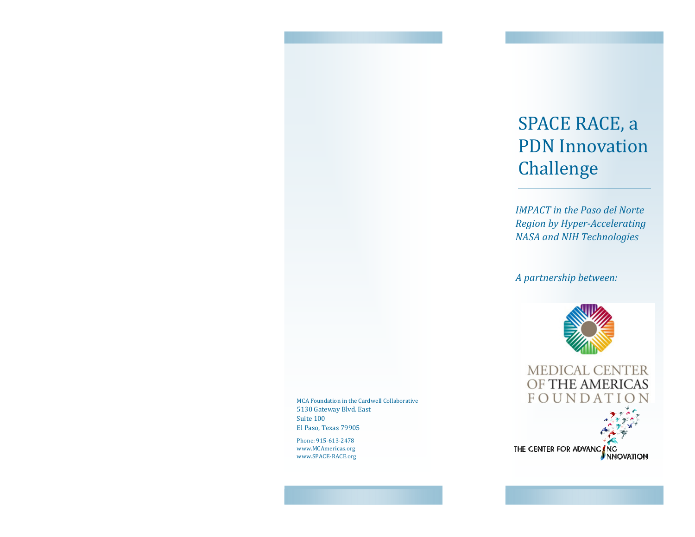# SPACE RACE, a **PDN** Innovation Challenge

**IMPACT** in the Paso del Norte Region by Hyper-Accelerating **NASA and NIH Technologies** 

A partnership between:



MEDICAL CENTER OF THE AMERICAS FOUNDAT THE CENTER FOR ADVANC ING

MCA Foundation in the Cardwell Collaborative 5130 Gateway Blvd. East Suite 100 El Paso, Texas 79905 

Phone: 915-613-2478 www.MCAmericas.org www.SPACE-RACE.org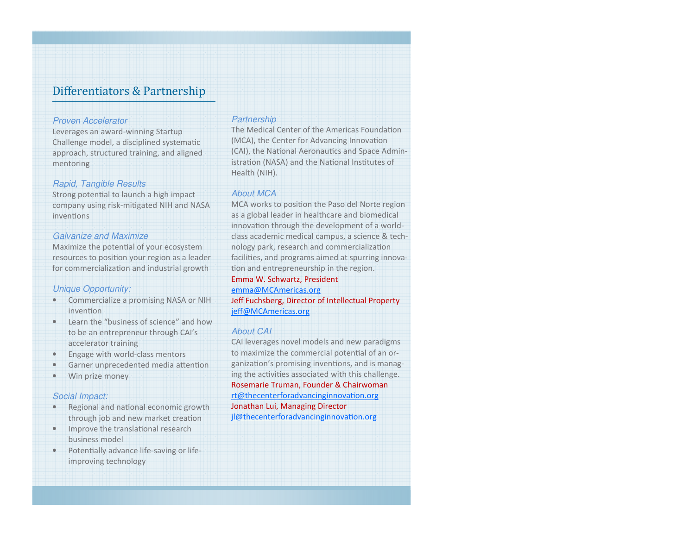## Differentiators & Partnership

#### Proven Accelerator

 Leverages an award-winning Startup Challenge model, a disciplined systematic approach, structured training, and aligned mentoring

#### Rapid, Tangible Results

Strong potential to launch a high impact company using risk-migated NIH and NASA inventions

### Galvanize and Maximize

Maximize the potential of your ecosystem resources to position your region as a leader for commercialization and industrial growth

#### Unique Opportunity:

- Commercialize a promising NASA or NIH invention
- Learn the "business of science" and how to be an entrepreneur through CAI's accelerator training
- Engage with world-class mentors
- Garner unprecedented media attention
- Win prize money

#### Social Impact:

- Regional and national economic growth through job and new market creation
- $\bullet$  Improve the translational research business model
- Potentially advance life-saving or lifeimproving technology

#### **Partnership**

The Medical Center of the Americas Foundation (MCA), the Center for Advancing Innovation (CAI), the National Aeronautics and Space Administration (NASA) and the National Institutes of Health (NIH).

#### About MCA

MCA works to position the Paso del Norte region as a global leader in healthcare and biomedical innovation through the development of a worldclass academic medical campus, a science & technology park, research and commercialization facilities, and programs aimed at spurring innovation and entrepreneurship in the region.

## Emma W. Schwartz, President

emma@MCAmericas.org

 Jeff Fuchsberg, Director of Intellectual Property jeff@MCAmericas.org

#### About CAI

 CAI leverages novel models and new paradigms to maximize the commercial potential of an organization's promising inventions, and is managing the activities associated with this challenge. Rosemarie Truman, Founder & Chairwoman rt@thecenterforadvancinginnovation.org Jonathan Lui, Managing Director jl@thecenterforadvancinginnovation.org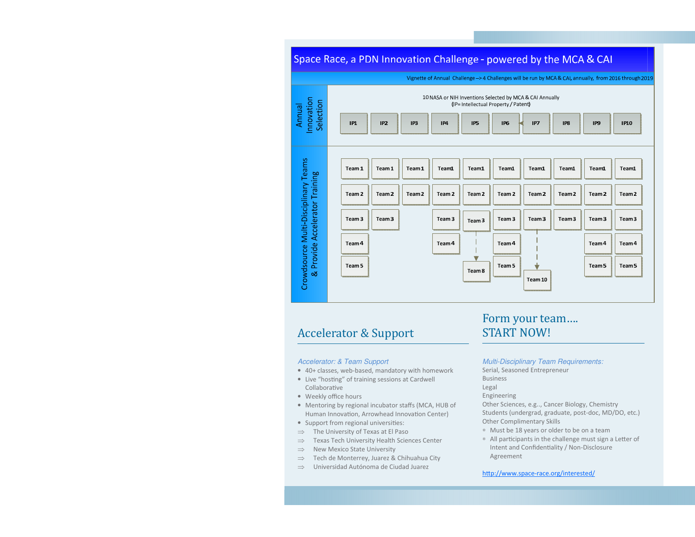# Space Race, a PDN Innovation Challenge - powered by the MCA & CAI



## Accelerator & Support

#### Accelerator: & Team Support

- 40+ classes, web-based, mandatory with homework
- $\bullet$  Live "hosting" of training sessions at Cardwell Collaborative
- Weekly office hours
- Mentoring by regional incubator staffs (MCA, HUB of Human Innovation, Arrowhead Innovation Center)
- Support from regional universities:
- ⇒ The University of Texas at El Paso
- ⇒Texas Tech University Health Sciences Center
- ⇒New Mexico State University
- ⇒Tech de Monterrey, Juarez & Chihuahua City
- ⇒Universidad Autónoma de Ciudad Juarez

# Form your team.... **START NOW!**

Multi-Disciplinary Team Requirements:

Serial, Seasoned Entrepreneur

Business

Legal

Engineering

 Other Sciences, e.g.., Cancer Biology, Chemistry Students (undergrad, graduate, post-doc, MD/DO, etc.) Other Complimentary Skills

- ∗ Must be 18 years or older to be on a team
- ∗ All parcipants in the challenge must sign a Le\*er of Intent and Confidentiality / Non-Disclosure Agreement

#### http://www.space-race.org/interested/